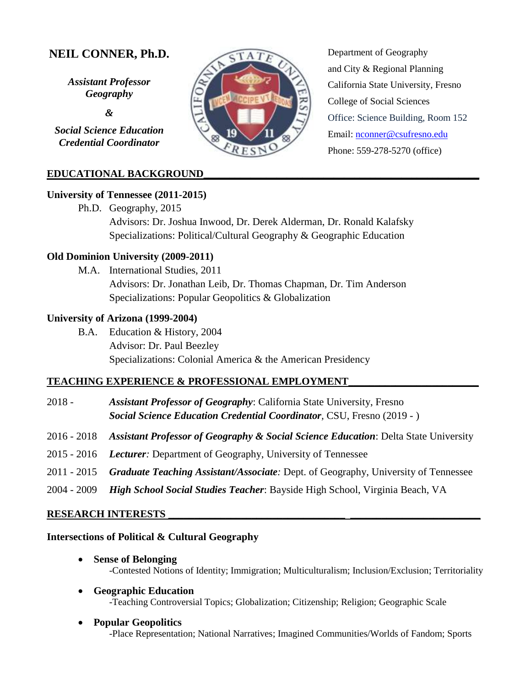# **NEIL CONNER, Ph.D.**

*Assistant Professor Geography* 

*&*

*Social Science Education Credential Coordinator*

## **EDUCATIONAL BACKGROUND\_\_\_\_\_\_\_\_\_\_\_\_\_\_\_\_\_\_\_\_\_\_\_\_\_\_\_\_\_\_\_\_\_\_\_\_\_\_\_\_\_\_\_\_\_\_\_\_\_\_\_\_\_**

#### **University of Tennessee (2011-2015)**

Ph.D. Geography, 2015 Advisors: Dr. Joshua Inwood, Dr. Derek Alderman, Dr. Ronald Kalafsky Specializations: Political/Cultural Geography & Geographic Education

#### **Old Dominion University (2009-2011)**

M.A. International Studies, 2011 Advisors: Dr. Jonathan Leib, Dr. Thomas Chapman, Dr. Tim Anderson Specializations: Popular Geopolitics & Globalization

#### **University of Arizona (1999-2004)**

B.A. Education & History, 2004 Advisor: Dr. Paul Beezley Specializations: Colonial America & the American Presidency

#### **TEACHING EXPERIENCE & PROFESSIONAL EMPLOYMENT\_\_\_\_\_\_\_\_\_\_\_\_\_\_\_\_\_\_\_\_\_\_\_\_\_**

- 2018 *Assistant Professor of Geography*: California State University, Fresno *Social Science Education Credential Coordinator,* CSU, Fresno (2019 - )
- 2016 2018 *Assistant Professor of Geography & Social Science Education*: Delta State University
- 2015 2016 *Lecturer:* Department of Geography, University of Tennessee
- 2011 2015 *Graduate Teaching Assistant/Associate:* Dept. of Geography, University of Tennessee
- 2004 2009 *High School Social Studies Teacher*: Bayside High School, Virginia Beach, VA

#### **RESEARCH INTERESTS \_\_\_\_\_\_\_\_\_\_\_\_\_\_\_\_\_\_\_\_\_\_\_\_\_\_\_\_\_\_\_\_\_\_ \_\_\_\_\_\_\_\_\_\_\_\_\_\_\_\_\_\_\_\_\_\_\_\_\_**

#### **Intersections of Political & Cultural Geography**

- **Sense of Belonging**  -Contested Notions of Identity; Immigration; Multiculturalism; Inclusion/Exclusion; Territoriality
- **Geographic Education** -Teaching Controversial Topics; Globalization; Citizenship; Religion; Geographic Scale
- **Popular Geopolitics**  -Place Representation; National Narratives; Imagined Communities/Worlds of Fandom; Sports



Department of Geography and City & Regional Planning California State University, Fresno College of Social Sciences Office: Science Building, Room 152 Email: [nconner@csufresno.edu](mailto:nconner@csufresno.edu) Phone: 559-278-5270 (office)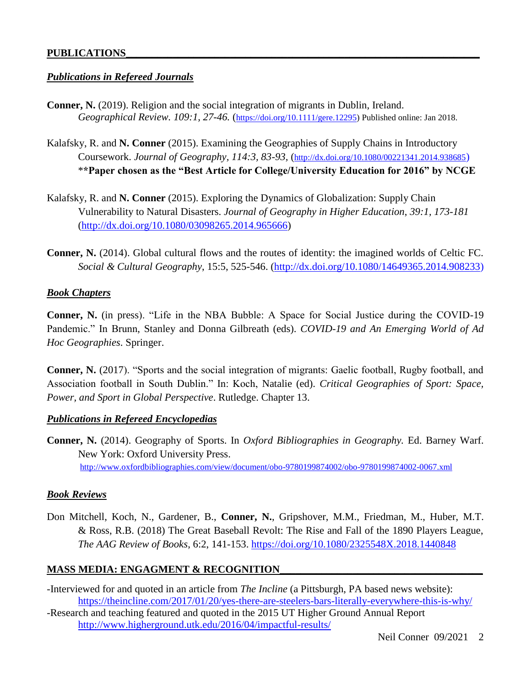#### **PUBLICATIONS\_\_\_\_\_\_\_\_\_\_\_\_\_\_\_\_\_\_\_\_\_\_\_\_\_\_\_\_\_\_\_\_\_\_\_\_\_\_\_\_\_\_\_\_\_\_\_\_\_\_\_\_\_\_\_\_\_\_\_\_\_\_\_\_\_\_\_\_**

#### *Publications in Refereed Journals*

- **Conner, N.** (2019). Religion and the social integration of migrants in Dublin, Ireland. *Geographical Review. 109:1, 27-46.* ([https://doi.org/10.1111/gere.12295\)](https://doi.org/10.1111/gere.12295) Published online: Jan 2018.
- Kalafsky, R. and **N. Conner** (2015). Examining the Geographies of Supply Chains in Introductory Coursework. *Journal of Geography, 114:3, 83-93,* (<http://dx.doi.org/10.1080/00221341.2014.938685>) \***\*Paper chosen as the "Best Article for College/University Education for 2016" by NCGE**
- Kalafsky, R. and **N. Conner** (2015). Exploring the Dynamics of Globalization: Supply Chain Vulnerability to Natural Disasters. *Journal of Geography in Higher Education*, *39:1, 173-181* [\(http://dx.doi.org/10.1080/03098265.2014.965666\)](http://dx.doi.org/10.1080/03098265.2014.965666)
- **Conner, N.** (2014). Global cultural flows and the routes of identity: the imagined worlds of Celtic FC. *Social & Cultural Geography*, 15:5, 525-546. [\(http://dx.doi.org/10.1080/14649365.2014.908233\)](http://dx.doi.org/10.1080/14649365.2014.908233)

#### *Book Chapters*

**Conner, N.** (in press). "Life in the NBA Bubble: A Space for Social Justice during the COVID-19 Pandemic." In Brunn, Stanley and Donna Gilbreath (eds). *COVID-19 and An Emerging World of Ad Hoc Geographies*. Springer.

**Conner, N.** (2017). "Sports and the social integration of migrants: Gaelic football, Rugby football, and Association football in South Dublin." In: Koch, Natalie (ed). *Critical Geographies of Sport: Space, Power, and Sport in Global Perspective*. Rutledge. Chapter 13.

#### *Publications in Refereed Encyclopedias*

**Conner, N.** (2014). Geography of Sports. In *Oxford Bibliographies in Geography.* Ed. Barney Warf. New York: Oxford University Press. <http://www.oxfordbibliographies.com/view/document/obo-9780199874002/obo-9780199874002-0067.xml>

#### *Book Reviews*

Don Mitchell, Koch, N., Gardener, B., **Conner, N.**, Gripshover, M.M., Friedman, M., Huber, M.T. & Ross, R.B. (2018) The Great Baseball Revolt: The Rise and Fall of the 1890 Players League, *The AAG Review of Books*, 6:2, 141-153.<https://doi.org/10.1080/2325548X.2018.1440848>

#### **MASS MEDIA: ENGAGMENT & RECOGNITION\_\_\_\_\_\_\_\_\_\_\_\_\_\_\_\_\_\_\_\_\_\_\_\_\_\_\_\_\_\_\_\_\_\_\_\_\_\_\_**

- -Interviewed for and quoted in an article from *The Incline* (a Pittsburgh, PA based news website): <https://theincline.com/2017/01/20/yes-there-are-steelers-bars-literally-everywhere-this-is-why/>
- -Research and teaching featured and quoted in the 2015 UT Higher Ground Annual Report <http://www.higherground.utk.edu/2016/04/impactful-results/>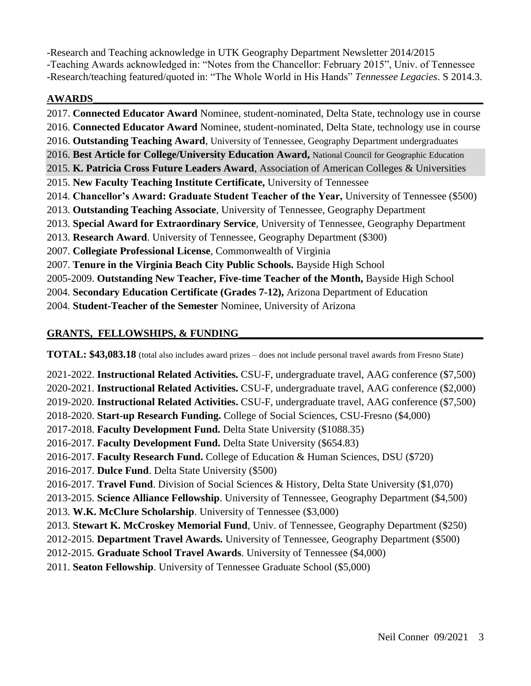-Research and Teaching acknowledge in UTK Geography Department Newsletter 2014/2015 -Teaching Awards acknowledged in: "Notes from the Chancellor: February 2015", Univ. of Tennessee -Research/teaching featured/quoted in: "The Whole World in His Hands" *Tennessee Legacies*. S 2014.3.

## **AWARDS\_\_\_\_\_\_\_\_\_\_\_\_\_\_\_\_\_\_\_\_\_\_\_\_\_\_\_\_\_\_\_\_\_\_\_\_\_\_\_\_\_\_\_\_\_\_\_\_\_\_\_\_\_\_\_\_\_\_\_\_\_\_\_\_\_\_\_\_\_\_\_\_\_\_\_**

2017. **Connected Educator Award** Nominee, student-nominated, Delta State, technology use in course 2016. **Connected Educator Award** Nominee, student-nominated, Delta State, technology use in course 2016. **Outstanding Teaching Award**, University of Tennessee, Geography Department undergraduates 2016. **Best Article for College/University Education Award,** National Council for Geographic Education 2015. **K. Patricia Cross Future Leaders Award**, Association of American Colleges & Universities 2015. **New Faculty Teaching Institute Certificate,** University of Tennessee 2014. **Chancellor's Award: Graduate Student Teacher of the Year,** University of Tennessee (\$500) 2013. **Outstanding Teaching Associate**, University of Tennessee, Geography Department 2013. **Special Award for Extraordinary Service**, University of Tennessee, Geography Department 2013. **Research Award**. University of Tennessee, Geography Department (\$300) 2007. **Collegiate Professional License**, Commonwealth of Virginia 2007. **Tenure in the Virginia Beach City Public Schools.** Bayside High School 2005-2009. **Outstanding New Teacher, Five-time Teacher of the Month,** Bayside High School 2004. **Secondary Education Certificate (Grades 7-12),** Arizona Department of Education 2004. **Student-Teacher of the Semester** Nominee, University of Arizona

## **GRANTS, FELLOWSHIPS, & FUNDING\_\_\_\_\_\_\_\_\_\_\_\_\_\_\_\_\_\_\_\_\_\_\_\_\_\_\_\_\_\_\_\_\_\_\_\_\_\_\_\_\_\_\_\_\_\_\_**

**TOTAL: \$43,083.18** (total also includes award prizes – does not include personal travel awards from Fresno State)

2021-2022. **Instructional Related Activities.** CSU-F, undergraduate travel, AAG conference (\$7,500) 2020-2021. **Instructional Related Activities.** CSU-F, undergraduate travel, AAG conference (\$2,000) 2019-2020. **Instructional Related Activities.** CSU-F, undergraduate travel, AAG conference (\$7,500) 2018-2020. **Start-up Research Funding.** College of Social Sciences, CSU-Fresno (\$4,000) 2017-2018. **Faculty Development Fund.** Delta State University (\$1088.35) 2016-2017. **Faculty Development Fund.** Delta State University (\$654.83) 2016-2017. **Faculty Research Fund.** College of Education & Human Sciences, DSU (\$720) 2016-2017. **Dulce Fund**. Delta State University (\$500) 2016-2017. **Travel Fund**. Division of Social Sciences & History, Delta State University (\$1,070) 2013-2015. **Science Alliance Fellowship**. University of Tennessee, Geography Department (\$4,500) 2013. **W.K. McClure Scholarship**. University of Tennessee (\$3,000) 2013. **Stewart K. McCroskey Memorial Fund**, Univ. of Tennessee, Geography Department (\$250) 2012-2015. **Department Travel Awards.** University of Tennessee, Geography Department (\$500) 2012-2015. **Graduate School Travel Awards**. University of Tennessee (\$4,000) 2011. **Seaton Fellowship**. University of Tennessee Graduate School (\$5,000)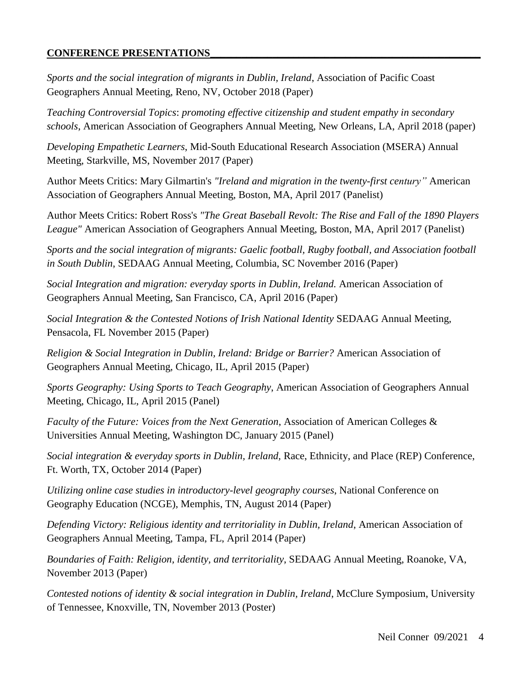## **CONFERENCE PRESENTATIONS\_\_\_\_\_\_\_\_\_\_\_\_\_\_\_\_\_\_\_\_\_\_\_\_\_\_\_\_\_\_\_\_\_\_\_\_\_\_\_\_\_\_\_\_\_\_\_\_\_\_\_\_**

*Sports and the social integration of migrants in Dublin, Ireland*, Association of Pacific Coast Geographers Annual Meeting, Reno, NV, October 2018 (Paper)

*Teaching Controversial Topics*: *promoting effective citizenship and student empathy in secondary schools*, American Association of Geographers Annual Meeting, New Orleans, LA, April 2018 (paper)

*Developing Empathetic Learners*, Mid-South Educational Research Association (MSERA) Annual Meeting, Starkville, MS, November 2017 (Paper)

Author Meets Critics: Mary Gilmartin's *"Ireland and migration in the twenty-first century"* American Association of Geographers Annual Meeting, Boston, MA, April 2017 (Panelist)

Author Meets Critics: Robert Ross's *"The Great Baseball Revolt: The Rise and Fall of the 1890 Players League"* American Association of Geographers Annual Meeting, Boston, MA, April 2017 (Panelist)

*Sports and the social integration of migrants: Gaelic football, Rugby football, and Association football in South Dublin*, SEDAAG Annual Meeting, Columbia, SC November 2016 (Paper)

*Social Integration and migration: everyday sports in Dublin, Ireland.* American Association of Geographers Annual Meeting, San Francisco, CA, April 2016 (Paper)

*Social Integration & the Contested Notions of Irish National Identity* SEDAAG Annual Meeting, Pensacola, FL November 2015 (Paper)

*Religion & Social Integration in Dublin, Ireland: Bridge or Barrier?* American Association of Geographers Annual Meeting, Chicago, IL, April 2015 (Paper)

*Sports Geography: Using Sports to Teach Geography*, American Association of Geographers Annual Meeting, Chicago, IL, April 2015 (Panel)

*Faculty of the Future: Voices from the Next Generation*, Association of American Colleges & Universities Annual Meeting, Washington DC, January 2015 (Panel)

*Social integration & everyday sports in Dublin, Ireland,* Race, Ethnicity, and Place (REP) Conference, Ft. Worth, TX, October 2014 (Paper)

*Utilizing online case studies in introductory-level geography courses*, National Conference on Geography Education (NCGE), Memphis, TN, August 2014 (Paper)

*Defending Victory: Religious identity and territoriality in Dublin, Ireland*, American Association of Geographers Annual Meeting, Tampa, FL, April 2014 (Paper)

*Boundaries of Faith: Religion, identity, and territoriality*, SEDAAG Annual Meeting, Roanoke, VA, November 2013 (Paper)

*Contested notions of identity & social integration in Dublin, Ireland*, McClure Symposium, University of Tennessee, Knoxville, TN, November 2013 (Poster)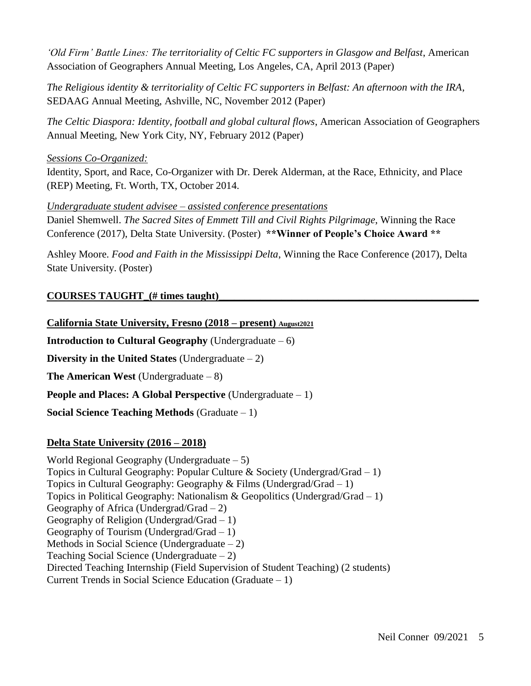*'Old Firm' Battle Lines: The territoriality of Celtic FC supporters in Glasgow and Belfast*, American Association of Geographers Annual Meeting, Los Angeles, CA, April 2013 (Paper)

*The Religious identity & territoriality of Celtic FC supporters in Belfast: An afternoon with the IRA*, SEDAAG Annual Meeting, Ashville, NC, November 2012 (Paper)

*The Celtic Diaspora: Identity, football and global cultural flows*, American Association of Geographers Annual Meeting, New York City, NY, February 2012 (Paper)

#### *Sessions Co-Organized:*

Identity, Sport, and Race, Co-Organizer with Dr. Derek Alderman, at the Race, Ethnicity, and Place (REP) Meeting, Ft. Worth, TX, October 2014.

#### *Undergraduate student advisee – assisted conference presentations*

Daniel Shemwell. *The Sacred Sites of Emmett Till and Civil Rights Pilgrimage*, Winning the Race Conference (2017), Delta State University. (Poster) **\*\*Winner of People's Choice Award \*\***

Ashley Moore. *Food and Faith in the Mississippi Delta*, Winning the Race Conference (2017), Delta State University. (Poster)

## COURSES TAUGHT (# times taught)

## **California State University, Fresno (2018 – present) August2021**

**Introduction to Cultural Geography** (Undergraduate  $-6$ )

**Diversity in the United States** (Undergraduate – 2)

**The American West** (Undergraduate – 8)

**People and Places: A Global Perspective** (Undergraduate – 1)

**Social Science Teaching Methods** (Graduate – 1)

## **Delta State University (2016 – 2018)**

World Regional Geography (Undergraduate – 5) Topics in Cultural Geography: Popular Culture & Society (Undergrad/Grad  $-1$ ) Topics in Cultural Geography: Geography & Films (Undergrad/Grad – 1) Topics in Political Geography: Nationalism  $& Geopolitics$  (Undergrad/Grad – 1) Geography of Africa (Undergrad/Grad  $-2$ ) Geography of Religion (Undergrad/Grad – 1) Geography of Tourism (Undergrad/Grad  $-1$ ) Methods in Social Science (Undergraduate – 2) Teaching Social Science (Undergraduate – 2) Directed Teaching Internship (Field Supervision of Student Teaching) (2 students) Current Trends in Social Science Education (Graduate – 1)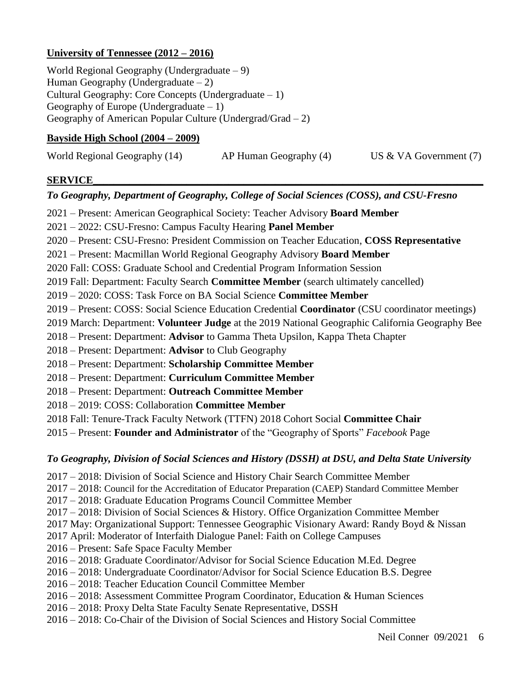## **University of Tennessee (2012 – 2016)**

World Regional Geography (Undergraduate – 9) Human Geography (Undergraduate  $-2$ ) Cultural Geography: Core Concepts (Undergraduate – 1) Geography of Europe (Undergraduate  $-1$ ) Geography of American Popular Culture (Undergrad/Grad – 2)

#### **Bayside High School (2004 – 2009)**

| World Regional Geography (14) | AP Human Geography (4) | US $&$ VA Government (7) |
|-------------------------------|------------------------|--------------------------|
|-------------------------------|------------------------|--------------------------|

## **SERVICE\_\_\_\_\_\_\_\_\_\_\_\_\_\_\_\_\_\_\_\_\_\_\_\_\_\_\_\_\_\_\_\_\_\_\_\_\_\_\_\_\_\_\_\_\_\_\_\_\_\_\_\_\_\_\_\_\_\_\_\_\_\_\_\_\_\_\_\_\_\_\_\_\_\_\_**

## *To Geography, Department of Geography, College of Social Sciences (COSS), and CSU-Fresno*

- 2021 Present: American Geographical Society: Teacher Advisory **Board Member**
- 2021 2022: CSU-Fresno: Campus Faculty Hearing **Panel Member**
- 2020 Present: CSU-Fresno: President Commission on Teacher Education, **COSS Representative**
- 2021 Present: Macmillan World Regional Geography Advisory **Board Member**
- 2020 Fall: COSS: Graduate School and Credential Program Information Session
- 2019 Fall: Department: Faculty Search **Committee Member** (search ultimately cancelled)
- 2019 2020: COSS: Task Force on BA Social Science **Committee Member**
- 2019 Present: COSS: Social Science Education Credential **Coordinator** (CSU coordinator meetings)
- 2019 March: Department: **Volunteer Judge** at the 2019 National Geographic California Geography Bee
- 2018 Present: Department: **Advisor** to Gamma Theta Upsilon, Kappa Theta Chapter
- 2018 Present: Department: **Advisor** to Club Geography
- 2018 Present: Department: **Scholarship Committee Member**
- 2018 Present: Department: **Curriculum Committee Member**
- 2018 Present: Department: **Outreach Committee Member**
- 2018 2019: COSS: Collaboration **Committee Member**
- 2018 Fall: Tenure-Track Faculty Network (TTFN) 2018 Cohort Social **Committee Chair**
- 2015 Present: **Founder and Administrator** of the "Geography of Sports" *Facebook* Page

## *To Geography, Division of Social Sciences and History (DSSH) at DSU, and Delta State University*

- 2017 2018: Division of Social Science and History Chair Search Committee Member
- 2017 2018: Council for the Accreditation of Educator Preparation (CAEP) Standard Committee Member
- 2017 2018: Graduate Education Programs Council Committee Member
- 2017 2018: Division of Social Sciences & History. Office Organization Committee Member
- 2017 May: Organizational Support: Tennessee Geographic Visionary Award: Randy Boyd & Nissan
- 2017 April: Moderator of Interfaith Dialogue Panel: Faith on College Campuses
- 2016 Present: Safe Space Faculty Member
- 2016 2018: Graduate Coordinator/Advisor for Social Science Education M.Ed. Degree
- 2016 2018: Undergraduate Coordinator/Advisor for Social Science Education B.S. Degree
- 2016 2018: Teacher Education Council Committee Member
- 2016 2018: Assessment Committee Program Coordinator, Education & Human Sciences
- 2016 2018: Proxy Delta State Faculty Senate Representative, DSSH
- 2016 2018: Co-Chair of the Division of Social Sciences and History Social Committee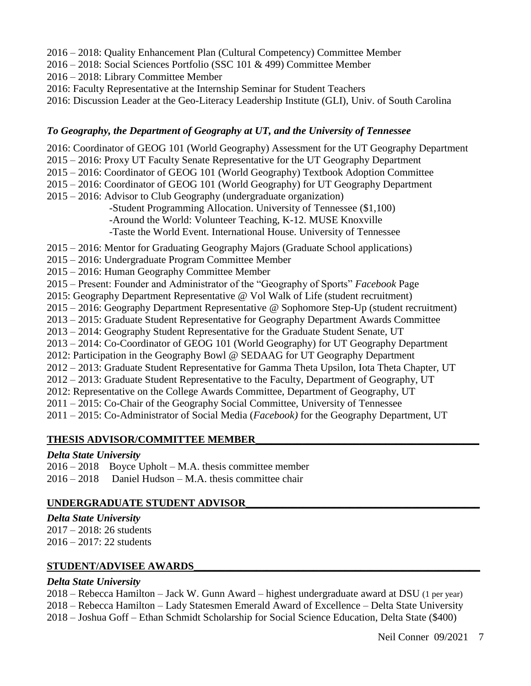- 2016 2018: Quality Enhancement Plan (Cultural Competency) Committee Member
- 2016 2018: Social Sciences Portfolio (SSC 101 & 499) Committee Member
- 2016 2018: Library Committee Member
- 2016: Faculty Representative at the Internship Seminar for Student Teachers
- 2016: Discussion Leader at the Geo-Literacy Leadership Institute (GLI), Univ. of South Carolina

## *To Geography, the Department of Geography at UT, and the University of Tennessee*

- 2016: Coordinator of GEOG 101 (World Geography) Assessment for the UT Geography Department
- 2015 2016: Proxy UT Faculty Senate Representative for the UT Geography Department
- 2015 2016: Coordinator of GEOG 101 (World Geography) Textbook Adoption Committee
- 2015 2016: Coordinator of GEOG 101 (World Geography) for UT Geography Department
- 2015 2016: Advisor to Club Geography (undergraduate organization)

-Student Programming Allocation. University of Tennessee (\$1,100) -Around the World: Volunteer Teaching, K-12. MUSE Knoxville -Taste the World Event. International House. University of Tennessee

2015 – 2016: Mentor for Graduating Geography Majors (Graduate School applications)

- 2015 2016: Undergraduate Program Committee Member
- 2015 2016: Human Geography Committee Member
- 2015 Present: Founder and Administrator of the "Geography of Sports" *Facebook* Page
- 2015: Geography Department Representative @ Vol Walk of Life (student recruitment)
- 2015 2016: Geography Department Representative @ Sophomore Step-Up (student recruitment)
- 2013 2015: Graduate Student Representative for Geography Department Awards Committee
- 2013 2014: Geography Student Representative for the Graduate Student Senate, UT
- 2013 2014: Co-Coordinator of GEOG 101 (World Geography) for UT Geography Department
- 2012: Participation in the Geography Bowl @ SEDAAG for UT Geography Department
- 2012 2013: Graduate Student Representative for Gamma Theta Upsilon, Iota Theta Chapter, UT
- 2012 2013: Graduate Student Representative to the Faculty, Department of Geography, UT
- 2012: Representative on the College Awards Committee, Department of Geography, UT
- 2011 2015: Co-Chair of the Geography Social Committee, University of Tennessee

2011 – 2015: Co-Administrator of Social Media (*Facebook)* for the Geography Department, UT

## **THESIS ADVISOR/COMMITTEE MEMBER\_\_\_\_\_\_\_\_\_\_\_\_\_\_\_\_\_\_\_\_\_\_\_\_\_\_\_\_\_\_\_\_\_\_\_\_\_\_\_\_\_\_\_**

#### *Delta State University*

2016 – 2018 Boyce Upholt – M.A. thesis committee member  $2016 - 2018$  Daniel Hudson – M.A. thesis committee chair

## **UNDERGRADUATE STUDENT ADVISOR\_\_\_\_\_\_\_\_\_\_\_\_\_\_\_\_\_\_\_\_\_\_\_\_\_\_\_\_\_\_\_\_\_\_\_\_\_\_\_\_\_\_\_\_\_**

*Delta State University*  2017 – 2018: 26 students

2016 – 2017: 22 students

## **STUDENT/ADVISEE AWARDS\_\_\_\_\_\_\_\_\_\_\_\_\_\_\_\_\_\_\_\_\_\_\_\_\_\_\_\_\_\_\_\_\_\_\_\_\_\_\_\_\_\_\_\_\_\_\_\_\_\_\_\_\_\_\_**

## *Delta State University*

2018 – Rebecca Hamilton – Jack W. Gunn Award – highest undergraduate award at DSU (1 per year) 2018 – Rebecca Hamilton – Lady Statesmen Emerald Award of Excellence – Delta State University 2018 – Joshua Goff – Ethan Schmidt Scholarship for Social Science Education, Delta State (\$400)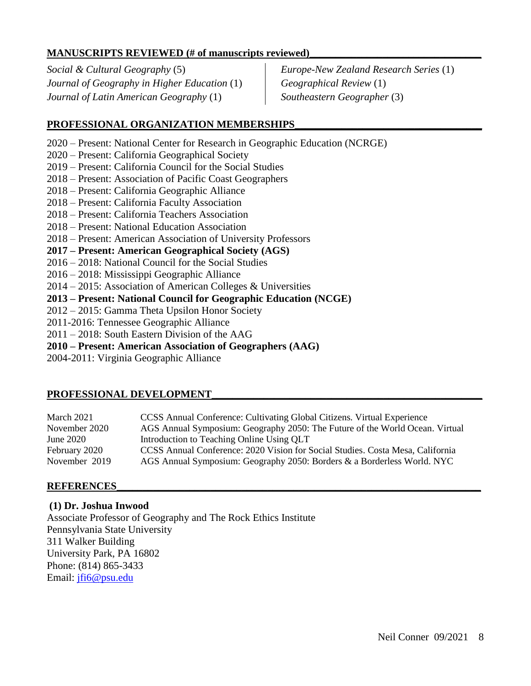## **MANUSCRIPTS REVIEWED** (# of manuscripts reviewed)

*Social & Cultural Geography* (5) *Journal of Geography in Higher Education* (1) *Journal of Latin American Geography* (1)

*Europe-New Zealand Research Series* (1) *Geographical Review* (1) *Southeastern Geographer* (3)

## PROFESSIONAL ORGANIZATION MEMBERSHIPS

- 2020 Present: National Center for Research in Geographic Education (NCRGE)
- 2020 Present: California Geographical Society
- 2019 Present: California Council for the Social Studies
- 2018 Present: Association of Pacific Coast Geographers
- 2018 Present: California Geographic Alliance
- 2018 Present: California Faculty Association
- 2018 Present: California Teachers Association
- 2018 Present: National Education Association
- 2018 Present: American Association of University Professors
- **2017 – Present: American Geographical Society (AGS)**
- 2016 2018: National Council for the Social Studies
- 2016 2018: Mississippi Geographic Alliance
- 2014 2015: Association of American Colleges & Universities
- **2013 – Present: National Council for Geographic Education (NCGE)**
- 2012 2015: Gamma Theta Upsilon Honor Society
- 2011-2016: Tennessee Geographic Alliance
- 2011 2018: South Eastern Division of the AAG
- **2010 – Present: American Association of Geographers (AAG)**
- 2004-2011: Virginia Geographic Alliance

#### PROFESSIONAL DEVELOPMENT

| March 2021    | CCSS Annual Conference: Cultivating Global Citizens. Virtual Experience        |
|---------------|--------------------------------------------------------------------------------|
| November 2020 | AGS Annual Symposium: Geography 2050: The Future of the World Ocean. Virtual   |
| June $2020$   | Introduction to Teaching Online Using QLT                                      |
| February 2020 | CCSS Annual Conference: 2020 Vision for Social Studies. Costa Mesa, California |
| November 2019 | AGS Annual Symposium: Geography 2050: Borders & a Borderless World. NYC        |

#### **REFERENCES\_\_\_\_\_\_\_\_\_\_\_\_\_\_\_\_\_\_\_\_\_\_\_\_\_\_\_\_\_\_\_\_\_\_\_\_\_\_\_\_\_\_\_\_\_\_\_\_\_\_\_\_\_\_\_\_\_\_\_\_\_\_\_\_\_\_\_\_\_\_**

**(1) Dr. Joshua Inwood**

Associate Professor of Geography and The Rock Ethics Institute Pennsylvania State University 311 Walker Building University Park, PA 16802 Phone: (814) 865-3433 Email: [jfi6@psu.edu](mailto:jfi6@psu.edu)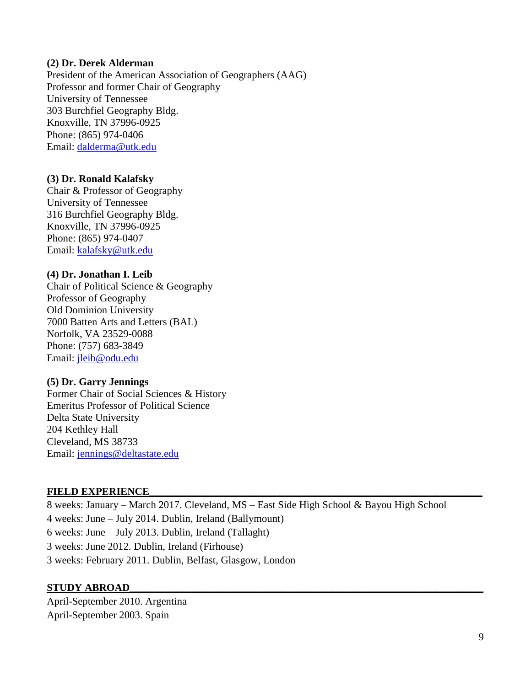#### **(2) Dr. Derek Alderman**

President of the American Association of Geographers (AAG) Professor and former Chair of Geography University of Tennessee 303 Burchfiel Geography Bldg. Knoxville, TN 37996-0925 Phone: (865) 974-0406 Email: [dalderma@utk.edu](mailto:dalderma@utk.edu)

#### **(3) Dr. Ronald Kalafsky**

Chair & Professor of Geography University of Tennessee 316 Burchfiel Geography Bldg. Knoxville, TN 37996-0925 Phone: (865) 974-0407 Email: [kalafsky@utk.edu](mailto:kalafsky@utk.edu)

#### **(4) Dr. Jonathan I. Leib**

Chair of Political Science & Geography Professor of Geography Old Dominion University 7000 Batten Arts and Letters (BAL) Norfolk, VA 23529-0088 Phone: (757) 683-3849 Email: [jleib@odu.edu](mailto:jleib@odu.edu)

#### **(5) Dr. Garry Jennings**

Former Chair of Social Sciences & History Emeritus Professor of Political Science Delta State University 204 Kethley Hall Cleveland, MS 38733 Email: [jennings@deltastate.edu](mailto:jennings@deltastate.edu)

#### **FIELD EXPERIENCE\_\_\_\_\_\_\_\_\_\_\_\_\_\_\_\_\_\_\_\_\_\_\_\_\_\_\_\_\_\_\_\_\_\_\_\_\_\_\_\_\_\_\_\_\_\_\_\_\_\_\_\_\_\_\_\_\_\_\_\_\_\_\_\_**

8 weeks: January – March 2017. Cleveland, MS – East Side High School & Bayou High School 4 weeks: June – July 2014. Dublin, Ireland (Ballymount) 6 weeks: June – July 2013. Dublin, Ireland (Tallaght) 3 weeks: June 2012. Dublin, Ireland (Firhouse) 3 weeks: February 2011. Dublin, Belfast, Glasgow, London

#### **STUDY ABROAD\_\_\_\_\_\_\_\_\_\_\_\_\_\_\_\_\_\_\_\_\_\_\_\_\_\_\_\_\_\_\_\_\_\_\_\_\_\_\_\_\_\_\_\_\_\_\_\_\_\_\_\_\_\_\_\_\_\_\_\_\_\_\_\_\_\_\_\_**

April-September 2010. Argentina April-September 2003. Spain